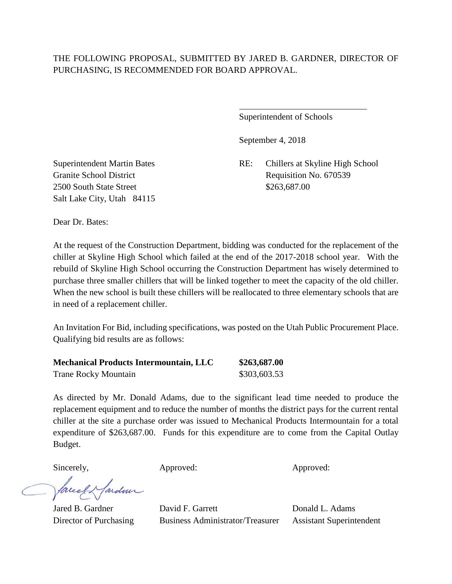## THE FOLLOWING PROPOSAL, SUBMITTED BY JARED B. GARDNER, DIRECTOR OF PURCHASING, IS RECOMMENDED FOR BOARD APPROVAL.

 $\overline{a}$ 

Superintendent of Schools

September 4, 2018

Superintendent Martin Bates RE: Chillers at Skyline High School Granite School District Requisition No. 670539

2500 South State Street \$263,687.00 Salt Lake City, Utah 84115

Dear Dr. Bates:

At the request of the Construction Department, bidding was conducted for the replacement of the chiller at Skyline High School which failed at the end of the 2017-2018 school year. With the rebuild of Skyline High School occurring the Construction Department has wisely determined to purchase three smaller chillers that will be linked together to meet the capacity of the old chiller. When the new school is built these chillers will be reallocated to three elementary schools that are in need of a replacement chiller.

An Invitation For Bid, including specifications, was posted on the Utah Public Procurement Place. Qualifying bid results are as follows:

| <b>Mechanical Products Intermountain, LLC</b> | \$263,687.00 |
|-----------------------------------------------|--------------|
| <b>Trane Rocky Mountain</b>                   | \$303,603.53 |

As directed by Mr. Donald Adams, due to the significant lead time needed to produce the replacement equipment and to reduce the number of months the district pays for the current rental chiller at the site a purchase order was issued to Mechanical Products Intermountain for a total expenditure of \$263,687.00. Funds for this expenditure are to come from the Capital Outlay Budget.

Sincerely, Approved: Approved: Approved: Approved:

fareel & fardun

Jared B. Gardner David F. Garrett Donald L. Adams Director of Purchasing Business Administrator/Treasurer Assistant Superintendent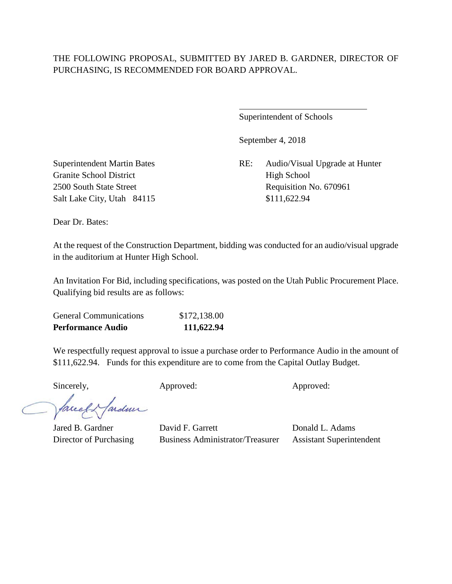# THE FOLLOWING PROPOSAL, SUBMITTED BY JARED B. GARDNER, DIRECTOR OF PURCHASING, IS RECOMMENDED FOR BOARD APPROVAL.

 $\overline{a}$ 

Superintendent of Schools

September 4, 2018

Superintendent Martin Bates RE: Audio/Visual Upgrade at Hunter 2500 South State Street Requisition No. 670961

Granite School District High School Salt Lake City, Utah 84115 \$111,622.94

Dear Dr. Bates:

At the request of the Construction Department, bidding was conducted for an audio/visual upgrade in the auditorium at Hunter High School.

An Invitation For Bid, including specifications, was posted on the Utah Public Procurement Place. Qualifying bid results are as follows:

| <b>Performance Audio</b>      | 111,622.94   |
|-------------------------------|--------------|
| <b>General Communications</b> | \$172,138.00 |

We respectfully request approval to issue a purchase order to Performance Audio in the amount of \$111,622.94. Funds for this expenditure are to come from the Capital Outlay Budget.

Sincerely, Approved: Approved: Approved:

facely farden

Jared B. Gardner David F. Garrett Donald L. Adams Director of Purchasing Business Administrator/Treasurer Assistant Superintendent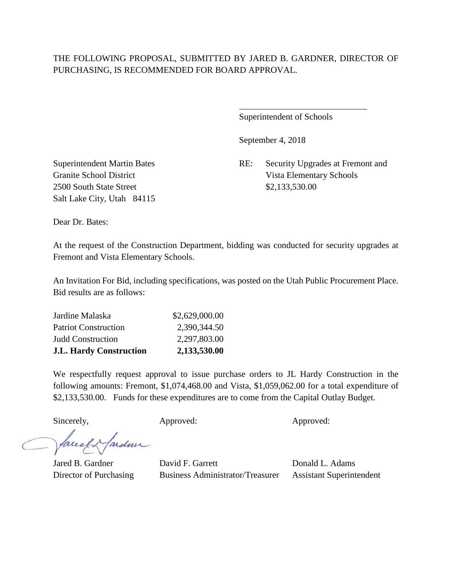### THE FOLLOWING PROPOSAL, SUBMITTED BY JARED B. GARDNER, DIRECTOR OF PURCHASING, IS RECOMMENDED FOR BOARD APPROVAL.

 $\overline{a}$ 

Superintendent of Schools

September 4, 2018

Superintendent Martin Bates RE: Security Upgrades at Fremont and Granite School District Vista Elementary Schools

2500 South State Street \$2,133,530.00 Salt Lake City, Utah 84115

Dear Dr. Bates:

At the request of the Construction Department, bidding was conducted for security upgrades at Fremont and Vista Elementary Schools.

An Invitation For Bid, including specifications, was posted on the Utah Public Procurement Place. Bid results are as follows:

| <b>J.L. Hardy Construction</b> | 2,133,530.00   |
|--------------------------------|----------------|
| <b>Judd Construction</b>       | 2,297,803.00   |
| <b>Patriot Construction</b>    | 2,390,344.50   |
| Jardine Malaska                | \$2,629,000.00 |

We respectfully request approval to issue purchase orders to JL Hardy Construction in the following amounts: Fremont, \$1,074,468.00 and Vista, \$1,059,062.00 for a total expenditure of \$2,133,530.00. Funds for these expenditures are to come from the Capital Outlay Budget.

Sincerely, Approved: Approved: Approved: Approved:

facely farden

Jared B. Gardner David F. Garrett Donald L. Adams Director of Purchasing Business Administrator/Treasurer Assistant Superintendent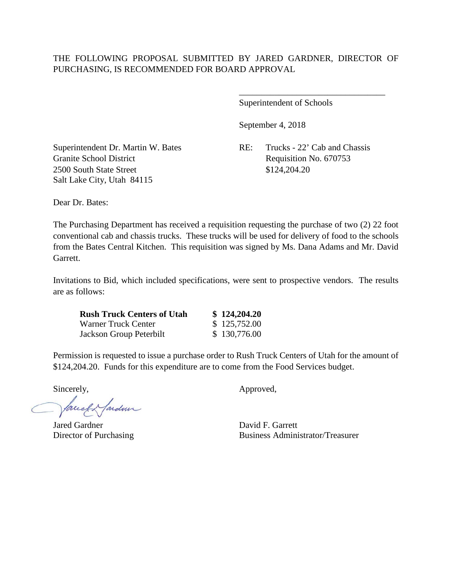Superintendent of Schools

September 4, 2018

Granite School District Requisition No. 670753 2500 South State Street \$124,204.20 Salt Lake City, Utah 84115

Superintendent Dr. Martin W. Bates RE: Trucks - 22' Cab and Chassis

\_\_\_\_\_\_\_\_\_\_\_\_\_\_\_\_\_\_\_\_\_\_\_\_\_\_\_\_\_\_\_\_\_

Dear Dr. Bates:

The Purchasing Department has received a requisition requesting the purchase of two (2) 22 foot conventional cab and chassis trucks. These trucks will be used for delivery of food to the schools from the Bates Central Kitchen. This requisition was signed by Ms. Dana Adams and Mr. David Garrett.

Invitations to Bid, which included specifications, were sent to prospective vendors. The results are as follows:

| <b>Rush Truck Centers of Utah</b> | \$124,204.20 |
|-----------------------------------|--------------|
| Warner Truck Center               | \$125,752.00 |
| Jackson Group Peterbilt           | \$130,776.00 |

Permission is requested to issue a purchase order to Rush Truck Centers of Utah for the amount of \$124,204.20. Funds for this expenditure are to come from the Food Services budget.

facely farden

Jared Gardner David F. Garrett

Sincerely,  $\qquad \qquad \text{Approved},$ 

Director of Purchasing Business Administrator/Treasurer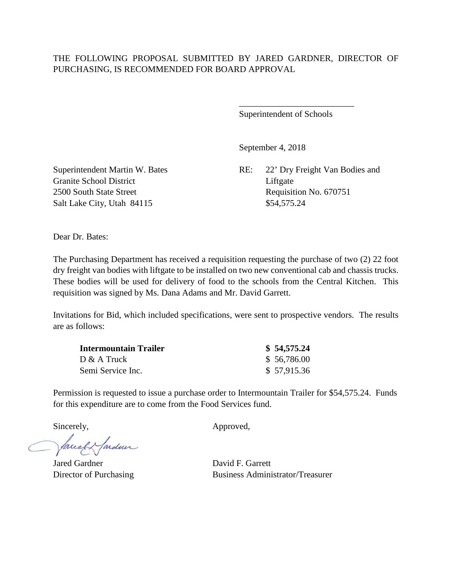#### THE FOLLOWING PROPOSAL SUBMITTED BY JARED GARDNER, DIRECTOR OF PURCHASING, IS RECOMMENDED FOR BOARD APPROVAL

Superintendent of Schools

\_\_\_\_\_\_\_\_\_\_\_\_\_\_\_\_\_\_\_\_\_\_\_\_\_\_

September 4, 2018

Superintendent Martin W. Bates RE: 22' Dry Freight Van Bodies and

Granite School District Liftgate 2500 South State Street Requisition No. 670751 Salt Lake City, Utah 84115 \$54,575.24

Dear Dr. Bates:

The Purchasing Department has received a requisition requesting the purchase of two (2) 22 foot dry freight van bodies with liftgate to be installed on two new conventional cab and chassis trucks. These bodies will be used for delivery of food to the schools from the Central Kitchen. This requisition was signed by Ms. Dana Adams and Mr. David Garrett.

Invitations for Bid, which included specifications, were sent to prospective vendors. The results are as follows:

| Intermountain Trailer | \$54,575.24 |
|-----------------------|-------------|
| $D & A$ Truck         | \$56,786.00 |
| Semi Service Inc.     | \$57,915.36 |

Permission is requested to issue a purchase order to Intermountain Trailer for \$54,575.24. Funds for this expenditure are to come from the Food Services fund.

facely farden

Jared Gardner David F. Garrett

Sincerely,  $\qquad \qquad \text{Approved.}$ 

Director of Purchasing Business Administrator/Treasurer